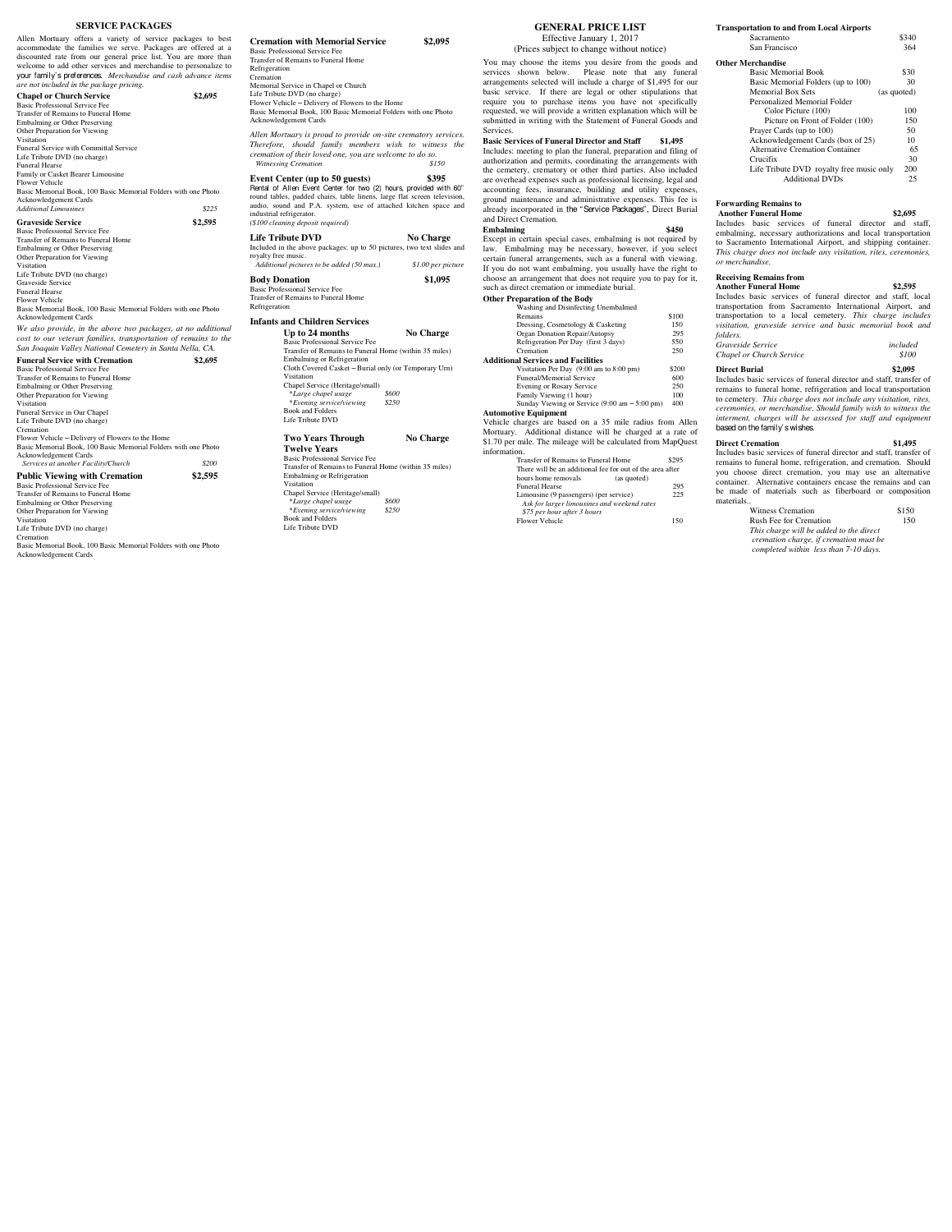# **SERVICE PACKAGES**

Allen Mortuary offers a variety of service packages to best accommodate the families we serve. Packages are offered at a discounted rate from our general price list. You are more than welcome to add other services and merc your family's preferences. *Merchandise and cash advance items*

*are not included in the package pricing.*  **Chapel or Church Service** \$2,695<br>Basic Professional Service Fee Basic Professional Service Fee Transfer of Remains to Funeral Home Embalming or Other Preserving Other Preparation for Viewing Visitation Funeral Service with Committal Service Life Tribute DVD (no charge) Funeral Hearse Family or Casket Bearer Limousine Flower Vehicle Basic Memorial Book, 100 Basic Memorial Folders with one Photo Acknowledgement Cards *Additional Limousines \$225*  **Graveside Service \$2,595**  Basic Professional Service Fee Transfer of Remains to Funeral Home Embalming or Other Preserving Other Preparation for Viewing Visitation Life Tribute DVD (no charge) Graveside Service Funeral Hearse Flower Vehicle Basic Memorial Book, 100 Basic Memorial Folders with one Photo Acknowledgement Cards We also provide, in the above two packages, at no addition *cost to our veteran families, transportation of remains to the San Joaquin Valley National Cemetery in Santa Nella, CA.*  **Funeral Service with Cremation \$2,695**  Basic Professional Service Fee Transfer of Remains to Funeral Home Embalming or Other Preserving Other Preparation for Viewing Visitation Funeral Service in Our Chapel Life Tribute DVD (no charge) Cremation<br>
Flower Vehicle – Delivery of Flowers to the Home<br>
Basic Memorial Book, 100 Basic Memorial Folders with one Photo<br> *Achowledgement Cardity/Church \$200 \$200* **Public Viewing with Cremation \$2,595** 

Basic Professional Service Fee Transfer of Remains to Funeral Home Embalming or Other Preserving Other Preparation for Viewing Visitation Life Tribute DVD (no charge) Cremation Basic Memorial Book, 100 Basic Memorial Folders with one Photo Acknowledgement Cards

## **Cremation with Memorial Service \$2,095**  Basic Professional Service Fee Transfer of Remains to Funeral Home Refrigeration Cremation Memorial Service in Chapel or Church Life Tribute DVD (no charge) Flower Vehicle – Delivery of Flowers to the Home Basic Memorial Book, 100 Basic Memorial Folders with one Photo Acknowledgement Cards *Allen Mortuary is proud to provide on-site crematory services. Therefore, should family members wish to witness the cremation of their loved one, you are welcome to do so. Witnessing Cremation \$150*  **Event Center (up to 50 guests)** \$395<br>Rental of Allen Event Center for two (2) hours, provided with 60<sup>th</sup><br>round tables, padded chairs, table linens, large flat screen television,<br>audio, sound and P.A. system, use of attac industrial refrigerator. *(\$100 cleaning deposit required)*  **Life Tribute DVD** No Charge Included in the above packages; up to 50 pictures, two text slides and royalty free music.  *Additional pictures to be added (50 max.) \$1.00 per picture*  **Body Donation \$1,095**  Basic Professional Service Fee Transfer of Remains to Funeral Home Refrigera **Infants and Children Services Up to 24 months No Charge**  Basic Professional Service Fee Transfer of Remains to Funeral Home (within 35 miles) Embalming or Refrigeration Cloth Covered Casket – Burial only (or Temporary Urn) Visitation Chapel Service (Heritage/small) \**Large chapel usage \$600*  \**Evening service/viewing \$250* Book and Folders Life Tribute DVD **Two Years Through No Charge**

# **Twelve Years**

Basic Professional Service Fee<br>
Transfer of Remains to Funeral Home (within 35 miles)<br>
Embalming or Refrigeration<br>
Visitation<br>
Chapel Service (Heritage/small)<br> *\*Large chapel usage* \$600 \**Evening service/viewing \$250* Book and Folders Life Tribute DVD

#### **GENERAL PRICE LIST** Effective January 1, 2017

(Prices subject to change without notice)

You may choose the items you desire from the goods and services shown below. Please note that any funeral arrangements selected will include a charge of \$1,495 for our basic service. If there are legal or other stipulations that require you to purchase items you have not specifically requested, we will provide a written explanation which will be submitted in writing with the Statement of Funeral Goods and Services.

**Basic Services of Funeral Director and Staff \$1,495**  Includes: meeting to plan the funeral, preparation and filing of authorization and permits, coordinating the arrangements with the cemetery, crematory or other third parties. Also included are overhead expenses such as professional licensing, legal and accounting fees, insurance, building and utility expenses, ground maintenance and administrative expenses. This fee is already incorporated in the "Service Packages", Direct Burial and Direct Cremation.

**Embalming \$450**  Except in certain special cases, embalming is not required by law. Embalming may be necessary, however, if you select certain funeral arrangements, such as a funeral with viewing. If you do not want embalming, you usually have the right to choose an arrangement that does not require you to pay for it, such as direct cremation or immediate burial.

| <b>Other Preparation of the Body</b>          |       |
|-----------------------------------------------|-------|
| Washing and Disinfecting Unembalmed           |       |
| Remains                                       | \$100 |
| Dressing, Cosmetology & Casketing             | 150   |
| Organ Donation Repair/Autopsy                 | 295   |
| Refrigeration Per Day (first 3 days)          | 550   |
| Cremation                                     | 250   |
| Additional Services and Facilities            |       |
| Visitation Per Day (9:00 am to 8:00 pm)       | \$200 |
| <b>Funeral/Memorial Service</b>               | 600   |
| <b>Evening or Rosary Service</b>              | 250   |
| Family Viewing (1 hour)                       | 100   |
| Sunday Viewing or Service (9:00 am - 5:00 pm) | 400   |

#### **Automotive Equipment**

Vehicle charges are based on a 35 mile radius from Allen Mortuary. Additional distance will be charged at a rate of \$1.70 per mile. The mileage will be calculated from MapQuest  $infor$ 

| Transfer of Remains to Funeral Home                       | 295 |
|-----------------------------------------------------------|-----|
| There will be an additional fee for out of the area after |     |
| hours home removals<br>(as quoted)                        |     |
| <b>Funeral Hearse</b>                                     | 295 |
| Limousine (9 passengers) (per service)                    | 225 |
| Ask for larger limousines and weekend rates               |     |
| \$75 per hour after 3 hours                               |     |
| <b>Flower Vehicle</b>                                     | 150 |
|                                                           |     |

**Transportation to and from Local Airports** Sacramento \$340<br>San Francisco \$364 San Francisco

## **Other**

| <b>Other Merchandise</b>                 |             |
|------------------------------------------|-------------|
| <b>Basic Memorial Book</b>               | \$30        |
| Basic Memorial Folders (up to 100)       | 30          |
| <b>Memorial Box Sets</b>                 | (as quoted) |
| Personalized Memorial Folder             |             |
| Color Picture (100)                      | 100         |
| Picture on Front of Folder (100)         | 150         |
| Prayer Cards (up to 100)                 | 50          |
| Acknowledgement Cards (box of 25)        | 10          |
| Alternative Cremation Container          | 65          |
| Crucifix                                 | 30          |
| Life Tribute DVD royalty free music only | 200         |
| <b>Additional DVDs</b>                   | 25          |

#### **Forwarding Remains to**

 **Another Funeral Home \$2,695**  Includes basic services of funeral director and staff, embalming, necessary authorizations and local transportation to Sacramento International Airport, and shipping container. *This charge does not include any visitation, rites, ceremonies, or merchandise.* 

# **Receiving Remains from**

**Another Funeral Home \$2,595**  Includes basic services of funeral director and staff, local transportation from Sacramento International Airport, and transportation to a local cemetery. *This charge includes visitation, graveside service and basic memorial book and folders. Graveside Service included Chapel or Church Service* 

**Direct Burial \$2,095** 

Includes basic services of funeral director and staff, transfer of remains to funeral home, refrigeration and local transportation to cemetery. *This charge does not include any visitation, rites, ceremonies, or merchandise. Should family wish to witness the interment, charges will be assessed for staff and equipment* based on thefamily's wishes.

**Direct Cremation \$1,495**  Includes basic services of funeral director and staff, transfer of remains to funeral home, refrigeration, and cremation. Should you choose direct cremation, you may use an alternative container. Alternative containers encase the remains and can be made of materials such as fiberboard or composition

materials.. Witness Cremation \$150 Rush Fee for Cremation 150 *This charge will be added to the direct cremation charge, if cremation must be completed within less than 7-10 days.*